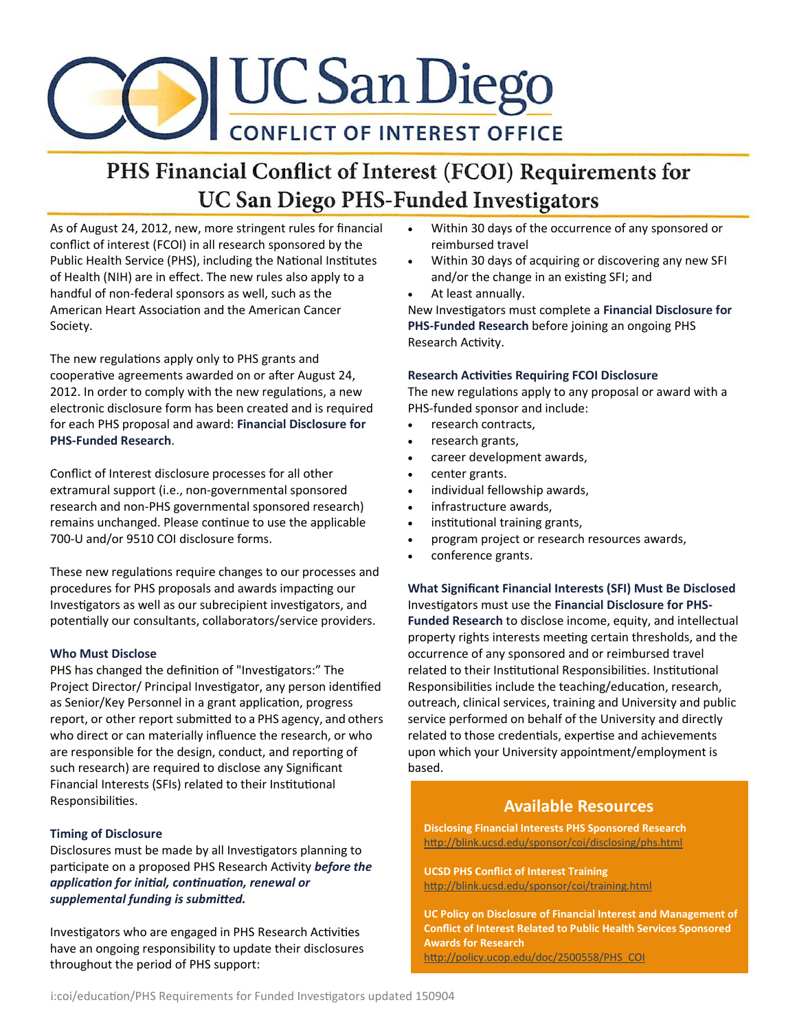

# PHS Financial Conflict of Interest (FCOI) Requirements for **UC San Diego PHS-Funded Investigators**

As of August 24, 2012, new, more stringent rules for financial conflict of interest (FCOI) in all research sponsored by the Public Health Service (PHS), including the National Institutes of Health (NIH) are in effect. The new rules also apply to a handful of non-federal sponsors as well, such as the American Heart Association and the American Cancer Society.

The new regulations apply only to PHS grants and cooperative agreements awarded on or after August 24, 2012. In order to comply with the new regulations, a new electronic disclosure form has been created and is required for each PHS proposal and award: **Financial Disclosure for PHS-Funded Research**.

Conflict of Interest disclosure processes for all other extramural support (i.e., non-governmental sponsored research and non-PHS governmental sponsored research) remains unchanged. Please continue to use the applicable 700-U and/or 9510 COI disclosure forms.

These new regulations require changes to our processes and procedures for PHS proposals and awards impacting our Investigators as well as our subrecipient investigators, and potentially our consultants, collaborators/service providers.

#### **Who Must Disclose**

PHS has changed the definition of "Investigators:" The Project Director/ Principal Investigator, any person identified as Senior/Key Personnel in a grant application, progress report, or other report submitted to a PHS agency, and others who direct or can materially influence the research, or who are responsible for the design, conduct, and reporting of such research) are required to disclose any Significant Financial Interests (SFIs) related to their Institutional Responsibilities.

#### **Timing of Disclosure**

Disclosures must be made by all Investigators planning to participate on a proposed PHS Research Activity *before the application for initial, continuation, renewal or supplemental funding is submitted.* 

Investigators who are engaged in PHS Research Activities have an ongoing responsibility to update their disclosures throughout the period of PHS support:

- Within 30 days of the occurrence of any sponsored or reimbursed travel
- Within 30 days of acquiring or discovering any new SFI and/or the change in an existing SFI; and
- At least annually.

New Investigators must complete a **Financial Disclosure for PHS-Funded Research** before joining an ongoing PHS Research Activity.

#### **Research Activities Requiring FCOI Disclosure**

The new regulations apply to any proposal or award with a PHS-funded sponsor and include:

- research contracts,
- research grants,
- career development awards,
- center grants.
- individual fellowship awards,
- infrastructure awards,
- institutional training grants,
- program project or research resources awards,
- conference grants.

**What Significant Financial Interests (SFI) Must Be Disclosed** Investigators must use the **Financial Disclosure for PHS-Funded Research** to disclose income, equity, and intellectual property rights interests meeting certain thresholds, and the occurrence of any sponsored and or reimbursed travel related to their Institutional Responsibilities. Institutional Responsibilities include the teaching/education, research, outreach, clinical services, training and University and public service performed on behalf of the University and directly related to those credentials, expertise and achievements upon which your University appointment/employment is based.

### **Available Resources**

**Disclosing Financial Interests PHS Sponsored Research** http://blink.ucsd.edu/sponsor/coi/disclosing/phs.html

**UCSD PHS Conflict of Interest Training** http://blink.ucsd.edu/sponsor/coi/training.html

**UC Policy on Disclosure of Financial Interest and Management of Conflict of Interest Related to Public Health Services Sponsored Awards for Research** http://policy.ucop.edu/doc/2500558/PHS\_COI